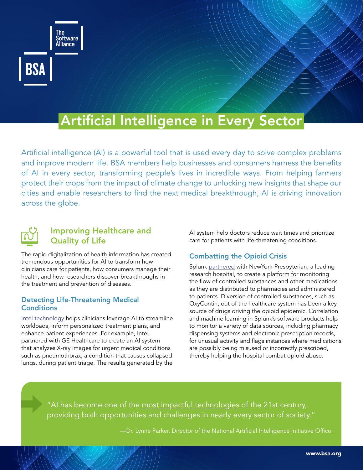

# Artificial Intelligence in Every Sector

Artificial intelligence (AI) is a powerful tool that is used every day to solve complex problems and improve modern life. BSA members help businesses and consumers harness the benefits of AI in every sector, transforming people's lives in incredible ways. From helping farmers protect their crops from the impact of climate change to unlocking new insights that shape our cities and enable researchers to find the next medical breakthrough, AI is driving innovation across the globe.



# Improving Healthcare and Quality of Life

The rapid digitalization of health information has created tremendous opportunities for AI to transform how clinicians care for patients, how consumers manage their health, and how researchers discover breakthroughs in the treatment and prevention of diseases.

#### Detecting Life-Threatening Medical **Conditions**

[Intel technology](https://nam02.safelinks.protection.outlook.com/?url=https%3A%2F%2Fwww.intel.com%2Fcontent%2Fwww%2Fus%2Fen%2Fhealthcare-it%2Fartificial-intelligence.html&data=05%7C01%7Cheidio%40bsa.org%7Cb66ff68fbcec475fd56008da24c574e5%7Ce85c1ade99da4673bcf92fb4b5005777%7C1%7C1%7C637862727777877495%7CUnknown%7CTWFpbGZsb3d8eyJWIjoiMC4wLjAwMDAiLCJQIjoiV2luMzIiLCJBTiI6Ik1haWwiLCJXVCI6Mn0%3D%7C3000%7C%7C%7C&sdata=8Er662GdB2lHKj37A3GQxBciZDldqlVmY%2FA7OsB%2BMJM%3D&reserved=0) helps clinicians leverage AI to streamline workloads, inform personalized treatment plans, and enhance patient experiences. For example, Intel partnered with GE Healthcare to create an AI system that analyzes X-ray images for urgent medical conditions such as pneumothorax, a condition that causes collapsed lungs, during patient triage. The results generated by the

AI system help doctors reduce wait times and prioritize care for patients with life-threatening conditions.

# Combatting the Opioid Crisis

Splunk [partnered](https://nam02.safelinks.protection.outlook.com/?url=https%3A%2F%2Fwww.splunk.com%2Fen_us%2Fcustomers%2Fsuccess-stories%2Fnew-york-presbyterian.html&data=05%7C01%7Cheidio%40bsa.org%7C64de3e710eff427eb0eb08da230e8e3d%7Ce85c1ade99da4673bcf92fb4b5005777%7C1%7C1%7C637860842705393257%7CUnknown%7CTWFpbGZsb3d8eyJWIjoiMC4wLjAwMDAiLCJQIjoiV2luMzIiLCJBTiI6Ik1haWwiLCJXVCI6Mn0%3D%7C3000%7C%7C%7C&sdata=x0zvL5ZHZD9icIbvzq5z3kLxVTHOhQqM7cS4OR9Sea8%3D&reserved=0) with NewYork-Presbyterian, a leading research hospital, to create a platform for monitoring the flow of controlled substances and other medications as they are distributed to pharmacies and administered to patients. Diversion of controlled substances, such as OxyContin, out of the healthcare system has been a key source of drugs driving the opioid epidemic. Correlation and machine learning in Splunk's software products help to monitor a variety of data sources, including pharmacy dispensing systems and electronic prescription records, for unusual activity and flags instances where medications are possibly being misused or incorrectly prescribed, thereby helping the hospital combat opioid abuse.

"AI has become one of the [most impactful technologies](https://www.whitehouse.gov/ostp/news-updates/2021/05/05/the-biden-administration-launches-ai-gov-aimed-at-broadening-access-to-federal-artificial-intelligence-innovation-efforts-encouraging-innovators-of-tomorrow/) of the 21st century, providing both opportunities and challenges in nearly every sector of society."

—Dr. Lynne Parker, Director of the National Artificial Intelligence Initiative Office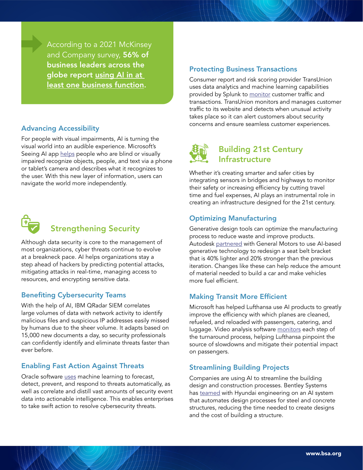According to a 2021 McKinsey and Company survey, 56% of business leaders across the globe report using AI in at [least one business function](https://www.mckinsey.com/business-functions/mckinsey-analytics/our-insights/global-survey-the-state-of-ai-in-2021).

## Advancing Accessibility

For people with visual impairments, AI is turning the visual world into an audible experience. Microsoft's Seeing AI app [helps](https://www.microsoft.com/en-us/ai/seeing-ai) people who are blind or visually impaired recognize objects, people, and text via a phone or tablet's camera and describes what it recognizes to the user. With this new layer of information, users can navigate the world more independently.



# Strengthening Security

Although data security is core to the management of most organizations, cyber threats continue to evolve at a breakneck pace. AI helps organizations stay a step ahead of hackers by predicting potential attacks, mitigating attacks in real-time, managing access to resources, and encrypting sensitive data.

### Benefiting Cybersecurity Teams

With the help of AI, IBM QRadar SIEM correlates large volumes of data with network activity to identify malicious files and suspicious IP addresses easily missed by humans due to the sheer volume. It adapts based on 15,000 new documents a day, so security professionals can confidently identify and eliminate threats faster than ever before.

### Enabling Fast Action Against Threats

Oracle software [uses](https://www.oracle.com/webfolder/s/assets/digibook/security/index.html) machine learning to forecast, detect, prevent, and respond to threats automatically, as well as correlate and distill vast amounts of security event data into actionable intelligence. This enables enterprises to take swift action to resolve cybersecurity threats.

#### Protecting Business Transactions

Consumer report and risk scoring provider TransUnion uses data analytics and machine learning capabilities provided by Splunk to [monitor](https://nam02.safelinks.protection.outlook.com/?url=https%3A%2F%2Fwww.splunk.com%2Fen_us%2Fcustomers%2Fsuccess-stories%2Ftransunion.html&data=05%7C01%7Cheidio%40bsa.org%7C64de3e710eff427eb0eb08da230e8e3d%7Ce85c1ade99da4673bcf92fb4b5005777%7C1%7C1%7C637860842705393257%7CUnknown%7CTWFpbGZsb3d8eyJWIjoiMC4wLjAwMDAiLCJQIjoiV2luMzIiLCJBTiI6Ik1haWwiLCJXVCI6Mn0%3D%7C3000%7C%7C%7C&sdata=60ofyTazRGq70Kp2e%2FVM9oPvVwYLgyjscqcH1ZrbBtc%3D&reserved=0) customer traffic and transactions. TransUnion monitors and manages customer traffic to its website and detects when unusual activity takes place so it can alert customers about security concerns and ensure seamless customer experiences.



Whether it's creating smarter and safer cities by integrating sensors in bridges and highways to monitor their safety or increasing efficiency by cutting travel time and fuel expenses, AI plays an instrumental role in creating an infrastructure designed for the 21st century.

## Optimizing Manufacturing

Generative design tools can optimize the manufacturing process to reduce waste and improve products. Autodesk [partnered](https://redshift.autodesk.com/automotive-design/) with General Motors to use AI-based generative technology to redesign a seat belt bracket that is 40% lighter and 20% stronger than the previous iteration. Changes like these can help reduce the amount of material needed to build a car and make vehicles more fuel efficient.

### Making Transit More Efficient

Microsoft has helped Lufthansa use AI products to greatly improve the efficiency with which planes are cleaned, refueled, and reloaded with passengers, catering, and luggage. Video analysis software [monitor](https://customers.microsoft.com/en-au/story/1369447387472683550-lufthansa-zerog-travel-transportation-azure-video-analyzer)s each step of the turnaround process, helping Lufthansa pinpoint the source of slowdowns and mitigate their potential impact on passengers.

### Streamlining Building Projects

Companies are using AI to streamline the building design and construction processes. Bentley Systems has [teamed](https://www.ajudaily.com/view/20210408160522535) with Hyundai engineering on an AI system that automates design processes for steel and concrete structures, reducing the time needed to create designs and the cost of building a structure.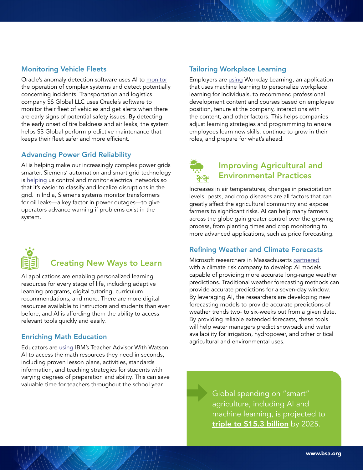### Monitoring Vehicle Fleets

Oracle's anomaly detection software uses AI to [monitor](https://www.oracle.com/artificial-intelligence/anomaly-detection/#industry) the operation of complex systems and detect potentially concerning incidents. Transportation and logistics company SS Global LLC uses Oracle's software to monitor their fleet of vehicles and get alerts when there are early signs of potential safety issues. By detecting the early onset of tire baldness and air leaks, the system helps SS Global perform predictive maintenance that keeps their fleet safer and more efficient.

### Advancing Power Grid Reliability

AI is helping make our increasingly complex power grids smarter. Siemens' automation and smart grid technology is [helping](https://new.siemens.com/global/en/company/stories/research-technologies/digitaltwin/oil-level-monitoring-for-pole-mounted-transformers.html) us control and monitor electrical networks so that it's easier to classify and localize disruptions in the grid. In India, Siemens systems monitor transformers for oil leaks—a key factor in power outages—to give operators advance warning if problems exist in the system.



# Creating New Ways to Learn

AI applications are enabling personalized learning resources for every stage of life, including adaptive learning programs, digital tutoring, curriculum recommendations, and more. There are more digital resources available to instructors and students than ever before, and AI is affording them the ability to access relevant tools quickly and easily.

# Enriching Math Education

Educators are [using](https://www.ibm.org/initiatives/watson-teacher-advisor) IBM's Teacher Advisor With Watson AI to access the math resources they need in seconds, including proven lesson plans, activities, standards information, and teaching strategies for students with varying degrees of preparation and ability. This can save valuable time for teachers throughout the school year.

# Tailoring Workplace Learning

Employers ar[e using](https://nam02.safelinks.protection.outlook.com/?url=https%3A%2F%2Fwww.workday.com%2Fen-us%2Fpages%2Ffeature-stories%2Fai-machine-learning-hr.html&data=05%7C01%7Cheidio%40bsa.org%7C2dc74717ee8f400b2edb08da24a0057f%7Ce85c1ade99da4673bcf92fb4b5005777%7C1%7C1%7C637862566977179824%7CUnknown%7CTWFpbGZsb3d8eyJWIjoiMC4wLjAwMDAiLCJQIjoiV2luMzIiLCJBTiI6Ik1haWwiLCJXVCI6Mn0%3D%7C3000%7C%7C%7C&sdata=agbf3FaryD4ZckuLqUQv4wYrdAxw9yLZ1hQPtLlZ98U%3D&reserved=0) Workday Learning, an application that uses machine learning to personalize workplace learning for individuals, to recommend professional development content and courses based on employee position, tenure at the company, interactions with the content, and other factors. This helps companies adjust learning strategies and programming to ensure employees learn new skills, continue to grow in their roles, and prepare for what's ahead.



# Improving Agricultural and Environmental Practices

Increases in air temperatures, changes in precipitation levels, pests, and crop diseases are all factors that can greatly affect the agricultural community and expose farmers to significant risks. AI can help many farmers across the globe gain greater control over the growing process, from planting times and crop monitoring to more advanced applications, such as price forecasting.

# Refining Weather and Climate Forecasts

Microsoft researchers in Massachusetts [partnered](https://blogs.microsoft.com/ai/ai-subseasonal-weather-forecast/) with a climate risk company to develop AI models capable of providing more accurate long-range weather predictions. Traditional weather forecasting methods can provide accurate predictions for a seven-day window. By leveraging AI, the researchers are developing new forecasting models to provide accurate predictions of weather trends two- to six-weeks out from a given date. By providing reliable extended forecasts, these tools will help water managers predict snowpack and water availability for irrigation, hydropower, and other critical agricultural and environmental uses.

> Global spending on "smart" agriculture, including AI and machine learning, is projected to [triple to \\$15.3 billion](https://www.forbes.com/sites/louiscolumbus/2021/02/17/10-ways-ai-has-the-potential-to-improve-agriculture-in-2021/?sh=44203f727f3b) by 2025.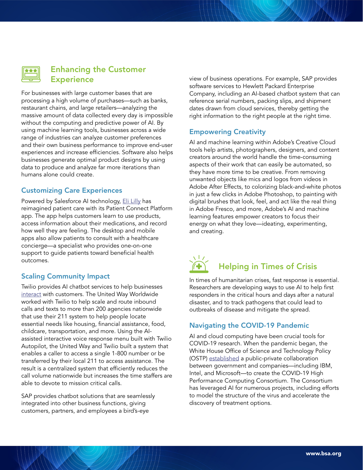

# Enhancing the Customer **Experience**

For businesses with large customer bases that are processing a high volume of purchases—such as banks, restaurant chains, and large retailers—analyzing the massive amount of data collected every day is impossible without the computing and predictive power of AI. By using machine learning tools, businesses across a wide range of industries can analyze customer preferences and their own business performance to improve end-user experiences and increase efficiencies. Software also helps businesses generate optimal product designs by using data to produce and analyze far more iterations than humans alone could create.

# Customizing Care Experiences

Powered by Salesforce AI technology, [Eli Lilly](https://nam02.safelinks.protection.outlook.com/?url=https%3A%2F%2Fwww.salesforce.com%2Fcustomer-success-stories%2Flilly%2F&data=05%7C01%7Cheidio%40bsa.org%7Cf83a5a2bf9ca4cfcaaef08da287e5c02%7Ce85c1ade99da4673bcf92fb4b5005777%7C1%7C1%7C637866820427492939%7CUnknown%7CTWFpbGZsb3d8eyJWIjoiMC4wLjAwMDAiLCJQIjoiV2luMzIiLCJBTiI6Ik1haWwiLCJXVCI6Mn0%3D%7C3000%7C%7C%7C&sdata=kaX7B5tU0yTgPG9JaP9MvhuovjQpyN1mDf4yF8FdUAU%3D&reserved=0) has reimagined patient care with its Patient Connect Platform app. The app helps customers learn to use products, access information about their medications, and record how well they are feeling. The desktop and mobile apps also allow patients to consult with a healthcare concierge—a specialist who provides one-on-one support to guide patients toward beneficial health outcomes.

# Scaling Community Impact

Twilio provides AI chatbot services to help businesses [interact](https://nam02.safelinks.protection.outlook.com/?url=https%3A%2F%2Fcustomers.twilio.com%2F2156%2Funitedway%2F&data=04%7C01%7Cheidio%40bsa.org%7C354e6a94f24943b45f6608da1cc6496a%7Ce85c1ade99da4673bcf92fb4b5005777%7C1%7C1%7C637853935223596180%7CUnknown%7CTWFpbGZsb3d8eyJWIjoiMC4wLjAwMDAiLCJQIjoiV2luMzIiLCJBTiI6Ik1haWwiLCJXVCI6Mn0%3D%7C3000&sdata=AirJp5OAiS1Y3uWtms0vPhpDt3vbQXRx5vINWlAmnUc%3D&reserved=0) with customers. The United Way Worldwide worked with Twilio to help scale and route inbound calls and texts to more than 200 agencies nationwide that use their 211 system to help people locate essential needs like housing, financial assistance, food, childcare, transportation, and more. Using the AIassisted interactive voice response menu built with Twilio Autopilot, the United Way and Twilio built a system that enables a caller to access a single 1-800 number or be transferred by their local 211 to access assistance. The result is a centralized system that efficiently reduces the call volume nationwide but increases the time staffers are able to devote to mission critical calls.

SAP provides chatbot solutions that are seamlessly integrated into other business functions, giving customers, partners, and employees a bird's-eye

view of business operations. For example, SAP provides software services to Hewlett Packard Enterprise Company, including an AI-based chatbot system that can reference serial numbers, packing slips, and shipment dates drawn from cloud services, thereby getting the right information to the right people at the right time.

# Empowering Creativity

AI and machine learning within Adobe's Creative Cloud tools help artists, photographers, designers, and content creators around the world handle the time-consuming aspects of their work that can easily be automated, so they have more time to be creative. From removing unwanted objects like mics and logos from videos in Adobe After Effects, to colorizing black-and-white photos in just a few clicks in Adobe Photoshop, to painting with digital brushes that look, feel, and act like the real thing in Adobe Fresco, and more, Adobe's AI and machine learning features empower creators to focus their energy on what they love—ideating, experimenting, and creating.

# $\sqrt{17}$ Helping in Times of Crisis

In times of humanitarian crises, fast response is essential. Researchers are developing ways to use AI to help first responders in the critical hours and days after a natural disaster, and to track pathogens that could lead to outbreaks of disease and mitigate the spread.

# Navigating the COVID-19 Pandemic

AI and cloud computing have been crucial tools for COVID-19 research. When the pandemic began, the White House Office of Science and Technology Policy (OSTP) [established](https://www.energy.gov/articles/running-speed-science-race-against-covid-19) a public-private collaboration between government and companies—including IBM, Intel, and Microsoft—to create the COVID-19 High Performance Computing Consortium. The Consortium has leveraged AI for numerous projects, including efforts to model the structure of the virus and accelerate the discovery of treatment options.